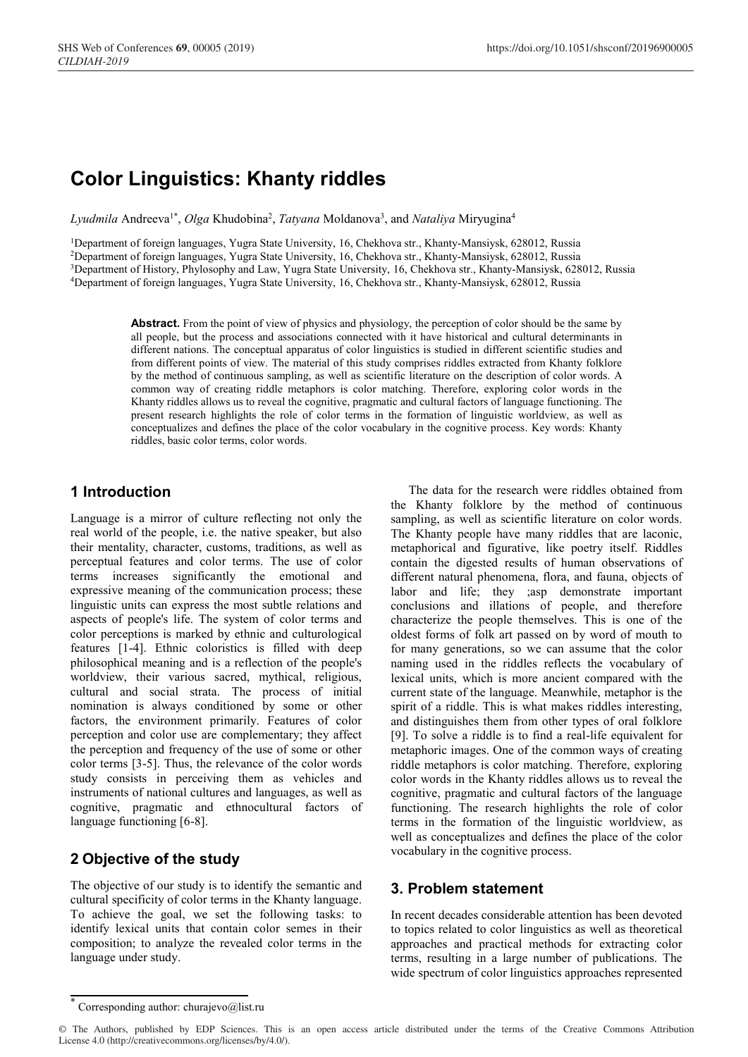# **Color Linguistics: Khanty riddles**

Lyudmila Andreeva<sup>1\*</sup>, Olga Khudobina<sup>2</sup>, Tatyana Moldanova<sup>3</sup>, and *Nataliya* Miryugina<sup>4</sup>

1Department of foreign languages, Yugra State University, 16, Chekhova str., Khanty-Mansiysk, 628012, Russia 2Department of foreign languages, Yugra State University, 16, Chekhova str., Khanty-Mansiysk, 628012, Russia 3Department of History, Phylosophy and Law, Yugra State University, 16, Chekhova str., Khanty-Mansiysk, 628012, Russia 4Department of foreign languages, Yugra State University, 16, Chekhova str., Khanty-Mansiysk, 628012, Russia

> **Abstract.** From the point of view of physics and physiology, the perception of color should be the same by all people, but the process and associations connected with it have historical and cultural determinants in different nations. The conceptual apparatus of color linguistics is studied in different scientific studies and from different points of view. The material of this study comprises riddles extracted from Khanty folklore by the method of continuous sampling, as well as scientific literature on the description of color words. A common way of creating riddle metaphors is color matching. Therefore, exploring color words in the Khanty riddles allows us to reveal the cognitive, pragmatic and cultural factors of language functioning. The present research highlights the role of color terms in the formation of linguistic worldview, as well as conceptualizes and defines the place of the color vocabulary in the cognitive process. Key words: Khanty riddles, basic color terms, color words.

## **1 Introduction**

Language is a mirror of culture reflecting not only the real world of the people, i.e. the native speaker, but also their mentality, character, customs, traditions, as well as perceptual features and color terms. The use of color terms increases significantly the emotional and expressive meaning of the communication process; these linguistic units can express the most subtle relations and aspects of people's life. The system of color terms and color perceptions is marked by ethnic and culturological features [1-4]. Ethnic coloristics is filled with deep philosophical meaning and is a reflection of the people's worldview, their various sacred, mythical, religious, cultural and social strata. The process of initial nomination is always conditioned by some or other factors, the environment primarily. Features of color perception and color use are complementary; they affect the perception and frequency of the use of some or other color terms [3-5]. Thus, the relevance of the color words study consists in perceiving them as vehicles and instruments of national cultures and languages, as well as cognitive, pragmatic and ethnocultural factors of language functioning [6-8].

## **2 Objective of the study**

The objective of our study is to identify the semantic and cultural specificity of color terms in the Khanty language. To achieve the goal, we set the following tasks: to identify lexical units that contain color semes in their composition; to analyze the revealed color terms in the language under study.

The data for the research were riddles obtained from the Khanty folklore by the method of continuous sampling, as well as scientific literature on color words. The Khanty people have many riddles that are laconic, metaphorical and figurative, like poetry itself. Riddles contain the digested results of human observations of different natural phenomena, flora, and fauna, objects of labor and life; they ;asp demonstrate important conclusions and illations of people, and therefore characterize the people themselves. This is one of the oldest forms of folk art passed on by word of mouth to for many generations, so we can assume that the color naming used in the riddles reflects the vocabulary of lexical units, which is more ancient compared with the current state of the language. Meanwhile, metaphor is the spirit of a riddle. This is what makes riddles interesting, and distinguishes them from other types of oral folklore [9]. To solve a riddle is to find a real-life equivalent for metaphoric images. One of the common ways of creating riddle metaphors is color matching. Therefore, exploring color words in the Khanty riddles allows us to reveal the cognitive, pragmatic and cultural factors of the language functioning. The research highlights the role of color terms in the formation of the linguistic worldview, as well as conceptualizes and defines the place of the color vocabulary in the cognitive process.

## **3. Problem statement**

In recent decades considerable attention has been devoted to topics related to color linguistics as well as theoretical approaches and practical methods for extracting color terms, resulting in a large number of publications. The wide spectrum of color linguistics approaches represented

<sup>\*</sup> Corresponding author: churajevo@list.ru

<sup>©</sup> The Authors, published by EDP Sciences. This is an open access article distributed under the terms of the Creative Commons Attribution License 4.0 (http://creativecommons.org/licenses/by/4.0/).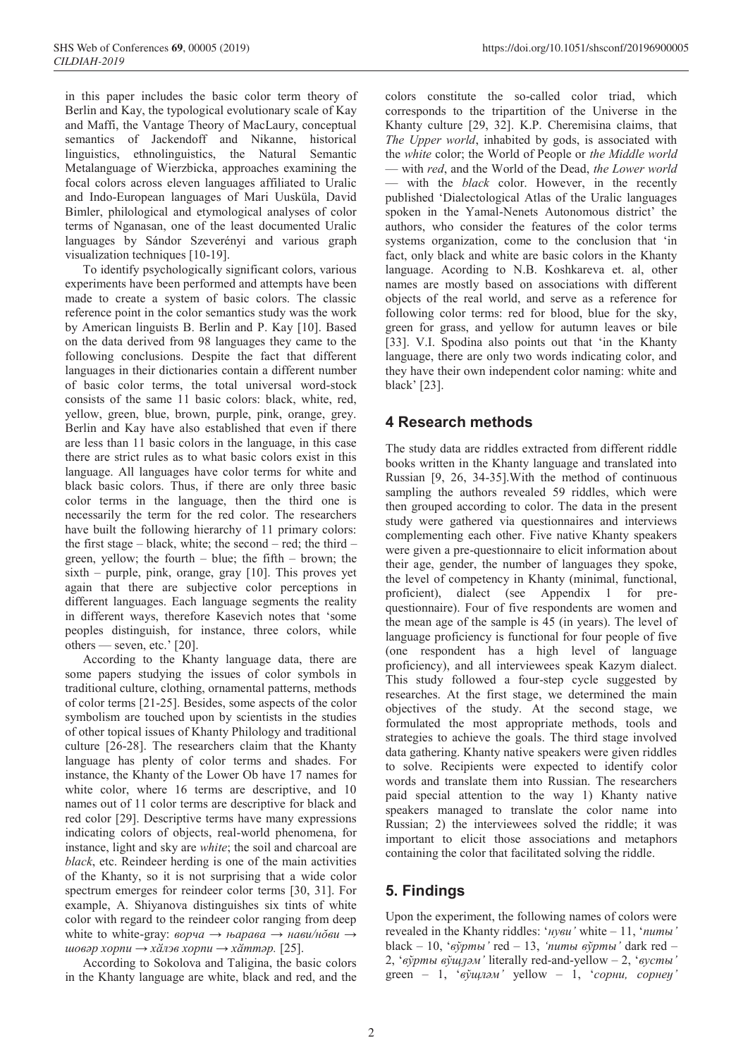in this paper includes the basic color term theory of Berlin and Kay, the typological evolutionary scale of Kay and Maffi, the Vantage Theory of MacLaury, conceptual semantics of Jackendoff and Nikanne, historical linguistics, ethnolinguistics, the Natural Semantic Metalanguage of Wierzbicka, approaches examining the focal colors across eleven languages affiliated to Uralic and Indo-European languages of Mari Uusküla, David Bimler, philological and etymological analyses of color terms of Nganasan, one of the least documented Uralic languages by Sándor Szeverényi and various graph visualization techniques [10-19].

To identify psychologically significant colors, various experiments have been performed and attempts have been made to create a system of basic colors. The classic reference point in the color semantics study was the work by American linguists B. Berlin and P. Kay [10]. Based on the data derived from 98 languages they came to the following conclusions. Despite the fact that different languages in their dictionaries contain a different number of basic color terms, the total universal word-stock consists of the same 11 basic colors: black, white, red, yellow, green, blue, brown, purple, pink, orange, grey. Berlin and Kay have also established that even if there are less than 11 basic colors in the language, in this case there are strict rules as to what basic colors exist in this language. All languages have color terms for white and black basic colors. Thus, if there are only three basic color terms in the language, then the third one is necessarily the term for the red color. The researchers have built the following hierarchy of 11 primary colors: the first stage – black, white; the second – red; the third – green, yellow; the fourth  $-$  blue; the fifth  $-$  brown; the sixth – purple, pink, orange, gray [10]. This proves yet again that there are subjective color perceptions in different languages. Each language segments the reality in different ways, therefore Kasevich notes that 'some peoples distinguish, for instance, three colors, while others — seven, etc.' [20].

According to the Khanty language data, there are some papers studying the issues of color symbols in traditional culture, clothing, ornamental patterns, methods of color terms [21-25]. Besides, some aspects of the color symbolism are touched upon by scientists in the studies of other topical issues of Khanty Philology and traditional culture [26-28]. The researchers claim that the Khanty language has plenty of color terms and shades. For instance, the Khanty of the Lower Ob have 17 names for white color, where 16 terms are descriptive, and 10 names out of 11 color terms are descriptive for black and red color [29]. Descriptive terms have many expressions indicating colors of objects, real-world phenomena, for instance, light and sky are *white*; the soil and charcoal are *black*, etc. Reindeer herding is one of the main activities of the Khanty, so it is not surprising that a wide color spectrum emerges for reindeer color terms [30, 31]. For example, A. Shiyanova distinguishes six tints of white color with regard to the reindeer color ranging from deep white to white-gray:  $\epsilon$ *sopya*  $\rightarrow \epsilon$  *hapasa*  $\rightarrow \epsilon$  *nasu/nosu*  $\rightarrow$ *шовəәр хорпи → хӑлэв хорпи → хӑттəәр.* [25].

According to Sokolova and Taligina, the basic colors in the Khanty language are white, black and red, and the colors constitute the so-called color triad, which corresponds to the tripartition of the Universe in the Khanty culture [29, 32]. K.P. Cheremisina claims, that *The Upper world*, inhabited by gods, is associated with the *white* color; the World of People or *the Middle world* –– with *red*, and the World of the Dead, *the Lower world* –– with the *black* color. However, in the recently published 'Dialectological Atlas of the Uralic languages spoken in the Yamal-Nenets Autonomous district' the authors, who consider the features of the color terms systems organization, come to the conclusion that 'in fact, only black and white are basic colors in the Khanty language. Acording to N.B. Koshkareva et. al, other names are mostly based on associations with different objects of the real world, and serve as a reference for following color terms: red for blood, blue for the sky, green for grass, and yellow for autumn leaves or bile [33]. V.I. Spodina also points out that 'in the Khanty language, there are only two words indicating color, and they have their own independent color naming: white and black' [23].

# **4 Research methods**

The study data are riddles extracted from different riddle books written in the Khanty language and translated into Russian [9, 26, 34-35].With the method of continuous sampling the authors revealed 59 riddles, which were then grouped according to color. The data in the present study were gathered via questionnaires and interviews complementing each other. Five native Khanty speakers were given a pre-questionnaire to elicit information about their age, gender, the number of languages they spoke, the level of competency in Khanty (minimal, functional, proficient), dialect (see Appendix 1 for prequestionnaire). Four of five respondents are women and the mean age of the sample is 45 (in years). The level of language proficiency is functional for four people of five (one respondent has a high level of language proficiency), and all interviewees speak Kazym dialect. This study followed a four-step cycle suggested by researches. At the first stage, we determined the main objectives of the study. At the second stage, we formulated the most appropriate methods, tools and strategies to achieve the goals. The third stage involved data gathering. Khanty native speakers were given riddles to solve. Recipients were expected to identify color words and translate them into Russian. The researchers paid special attention to the way 1) Khanty native speakers managed to translate the color name into Russian; 2) the interviewees solved the riddle; it was important to elicit those associations and metaphors containing the color that facilitated solving the riddle.

# **5. Findings**

Upon the experiment, the following names of colors were revealed in the Khanty riddles: 'нуви' white – 11, 'питы' black – 10, '*вўрты'* red – 13, *'питы вўрты'* dark red – 2, '*вўрты вўщԓəәм'* literally red-and-yellow – 2, '*вусты'* green – 1, '*вўщлəәм'*  yellow – 1, '*cорни, сорнеӈ'*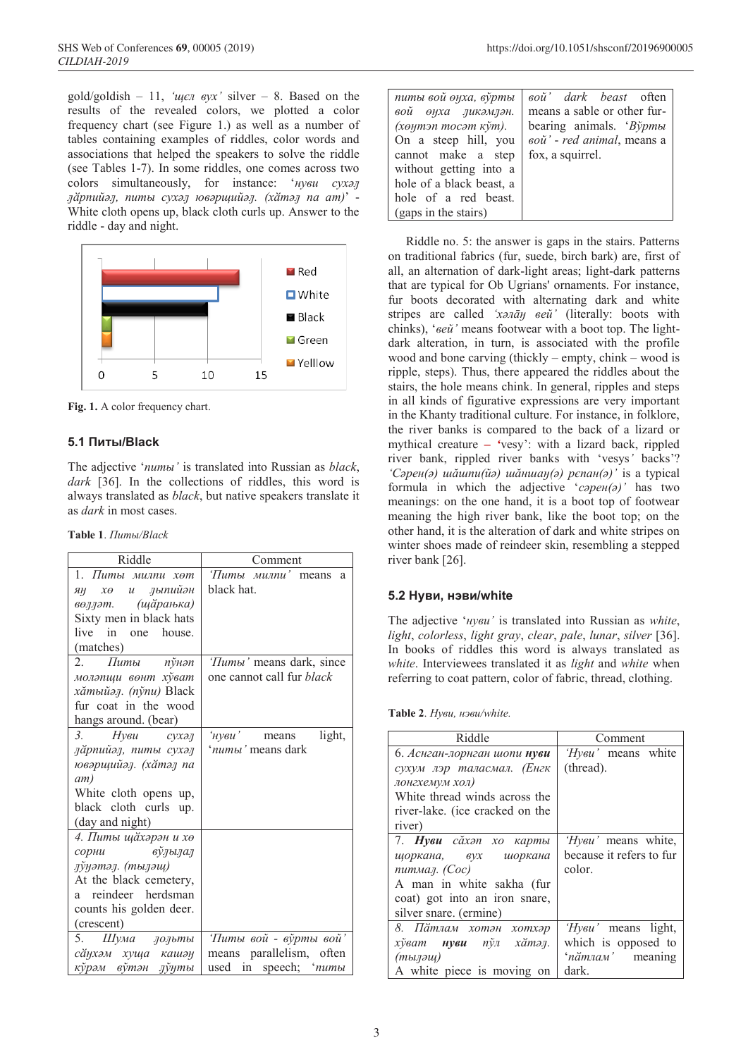gold/goldish – 11, *'щєл вух'* silver – 8. Based on the results of the revealed colors, we plotted a color frequency chart (see Figure 1.) as well as a number of tables containing examples of riddles, color words and associations that helped the speakers to solve the riddle (see Tables 1-7). In some riddles, one comes across two colors simultaneously, for instance: 'нуви сухәл *ԓӑрпийəәԓ, питы сухəәԓ ювəәрщийəәԓ. (хӑтəәԓ па ат)*' - White cloth opens up, black cloth curls up. Answer to the riddle - day and night.



Fig. 1. A color frequency chart.

#### **5.1 Питы/Black**

The adjective '*питы'* is translated into Russian as *black*, *dark* [36]. In the collections of riddles, this word is always translated as *black*, but native speakers translate it as *dark* in most cases.

**Table 1**. *Питы/Black*

| Riddle                                                                                                                                                                       | Comment                                                                       |
|------------------------------------------------------------------------------------------------------------------------------------------------------------------------------|-------------------------------------------------------------------------------|
| 1. Питы милпи хөт<br>яң хө и лыпийән<br>вөлләт. (щарањка)<br>Sixty men in black hats<br>live in<br>house.<br>one<br>(matches)                                                | 'Питы милпи' means<br>a<br>black hat.                                         |
| 2. Питы пўнәп<br>моләпщи вөнт хуват<br>хăтыйәл. (nynu) Black<br>fur coat in the wood<br>hangs around. (bear)                                                                 | 'Питы' means dark, since<br>one cannot call fur black                         |
| 3. Нуви сухәл<br>ларпийәл, питы сухәл<br>ювәрщийәл. (хатәл па<br>am)<br>White cloth opens up,<br>black cloth curls up.<br>(day and night)                                    | ' <sub>H</sub> yeu' means<br>light,<br>' <i>num<sub>bl</sub></i> ' means dark |
| 4. Питы щйхәрән и хө<br>сорни<br>вўлылал<br>лўнэтэл. (тыләщ)<br>At the black cemetery,<br>reindeer herdsman<br>a.<br>counts his golden deer.<br>(crescent)<br>5. Шума лольты | 'Питы вой - вўрты вой'                                                        |
| санхэм хуща кашэн<br>кўрэм вўтэн лўнты                                                                                                                                       | means parallelism, often<br>used in speech; 'numbl                            |

| питы вой өңха, вўрты<br>вой өңха ликәмлән.<br>(хөңтэп тосәт кўт).<br>On a steep hill, you<br>cannot make a step<br>without getting into a<br>hole of a black beast, a | soŭ' dark beast often<br>means a sable or other fur-<br>bearing animals. 'Bypmul<br>вой' - red animal, means a<br>fox, a squirrel. |
|-----------------------------------------------------------------------------------------------------------------------------------------------------------------------|------------------------------------------------------------------------------------------------------------------------------------|
| hole of a red beast.                                                                                                                                                  |                                                                                                                                    |
| (gaps in the stairs)                                                                                                                                                  |                                                                                                                                    |

Riddle no. 5: the answer is gaps in the stairs. Patterns on traditional fabrics (fur, suede, birch bark) are, first of all, an alternation of dark-light areas; light-dark patterns that are typical for Ob Ugrians' ornaments. For instance, fur boots decorated with alternating dark and white stripes are called *'хəәлāӈ вей'* (literally: boots with chinks), '*вей*' means footwear with a boot top. The lightdark alteration, in turn, is associated with the profile wood and bone carving (thickly – empty, chink – wood is ripple, steps). Thus, there appeared the riddles about the stairs, the hole means chink. In general, ripples and steps in all kinds of figurative expressions are very important in the Khanty traditional culture. For instance, in folklore, the river banks is compared to the back of a lizard or mythical creature *– '*vesy': with a lizard back, rippled river bank, rippled river banks with 'vesys*'* backs'? *'Сǝрен(ǝ) шăшпи(йǝ) шăншаӈ(ǝ) рєпан(ǝ)'* is a typical formula in which the adjective '*сǝрен(ǝ)'* has two meanings: on the one hand, it is a boot top of footwear meaning the high river bank, like the boot top; on the other hand, it is the alteration of dark and white stripes on winter shoes made of reindeer skin, resembling a stepped river bank [26].

## **5.2 Нуви, нэви/white**

The adjective '*нуви'* is translated into Russian as *white*, *light*, *colorless*, *light gray*, *clear*, *pale*, *lunar*, *silver* [36]. In books of riddles this word is always translated as *white*. Interviewees translated it as *light* and *white* when referring to coat pattern, color of fabric, thread, clothing.

|  |  |  | Table 2. Нуви, нэви/white. |
|--|--|--|----------------------------|
|--|--|--|----------------------------|

| Riddle                                                                                                                                                                  | Comment                                                                 |
|-------------------------------------------------------------------------------------------------------------------------------------------------------------------------|-------------------------------------------------------------------------|
| 6. Аснган-лорнган шопи <b>нуви</b><br>сухум лэр таласмал. (Енгк<br>лонгхемум хол)<br>White thread winds across the<br>river-lake. (ice cracked on the<br>river)         | 'Hyeu' means white<br>(thread).                                         |
| 7. <b>Нуви</b> с <i>ах</i> эп хо карты<br>шоркана, вух шоркана<br>питмал. (Сос)<br>A man in white sakha (fur<br>coat) got into an iron snare,<br>silver snare. (ermine) | 'Hyeu' means white,<br>because it refers to fur<br>color.               |
| 8. Патлам хотэн хотхэр<br>хўват нуви пўл хатэл.<br>$(m_{bl}$ J $\partial u)$<br>A white piece is moving on                                                              | 'Hyeu' means light,<br>which is opposed to<br>'nămnam' meaning<br>dark. |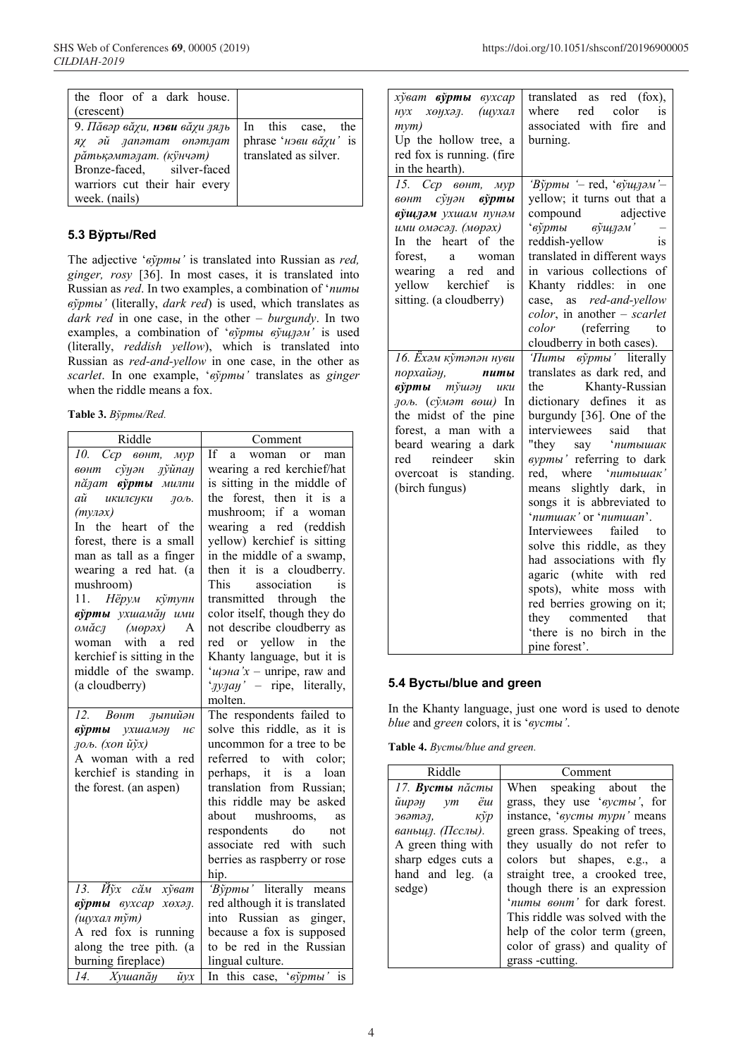| the floor of a dark house.<br>(crescent)                                                                                                                         |                                                                                                   |
|------------------------------------------------------------------------------------------------------------------------------------------------------------------|---------------------------------------------------------------------------------------------------|
| 9. Пасэр вахи, нэви вахи ляль<br>ях әй лапәтат өпәтлат<br>ратықәмтәлат. (кунчәт)<br>Bronze-faced, silver-faced<br>warriors cut their hair every<br>week. (nails) | In this case, the<br>phrase ' $H$ <sup>36</sup> $u$ $\delta \chi u$ ' is<br>translated as silver. |

## **5.3 Вўрты/Red**

The adjective '*вўрты'* is translated into Russian as *red, ginger, rosy* [36]. In most cases, it is translated into Russian as *red*. In two examples, a combination of '*питы вўрты'* (literally, *dark red*) is used, which translates as *dark red* in one case, in the other – *burgundy*. In two examples, a combination of '*вўрты вўщԓəәм'* is used (literally, *reddish yellow*), which is translated into Russian as *red-and-yellow* in one case, in the other as *scarlet*. In one example, '*вўрты'* translates as *ginger* when the riddle means a fox.

**Table 3.** *Вўрты/Red.*

| Riddle                                 | Comment                                      |
|----------------------------------------|----------------------------------------------|
| 10. Сер вөнт, мур                      | If a<br>woman<br>or man                      |
| <i><b>Jyunay</b></i><br>вөнт сўнән     | wearing a red kerchief/hat                   |
| пăлат <b>вўрты</b> милпи               | is sitting in the middle of                  |
| икилєнки<br>аŭ<br>$J$ ОЛь.             | the forest, then it is a                     |
| (туләх)                                | mushroom; if a woman                         |
| In the heart of the                    | wearing a red (reddish                       |
| forest, there is a small               | yellow) kerchief is sitting                  |
| man as tall as a finger                | in the middle of a swamp,                    |
| wearing a red hat. (a                  | then it is a cloudberry.                     |
| mushroom)                              | This association<br>is                       |
| 11. Нёрум кўтупн                       | transmitted through the                      |
| вўрты ухшаман ими                      | color itself, though they do                 |
| омасл (мөрәх)<br>A                     | not describe cloudberry as                   |
| woman with<br>a<br>red                 | red or yellow in the                         |
| kerchief is sitting in the             | Khanty language, but it is                   |
| middle of the swamp.                   | ' <i>щ</i> эна' $x$ – unripe, raw and        |
| (a cloudberry)                         | ' <i>nynan'</i> – ripe, literally,           |
|                                        | molten.                                      |
| 12. Вөнт лыпийән                       | The respondents failed to                    |
| <b>вўрты</b> ухшамәң<br>$H\mathcal{E}$ | solve this riddle, as it is                  |
| лољ. (хоп йўх)                         | uncommon for a tree to be                    |
| A woman with a red                     | referred to with color;                      |
| kerchief is standing in                | perhaps, it is<br>loan<br>a                  |
| the forest. (an aspen)                 | translation from Russian;                    |
|                                        | this riddle may be asked                     |
|                                        | about mushrooms,<br>as                       |
|                                        | respondents do<br>not                        |
|                                        | associate red with such                      |
|                                        | berries as raspberry or rose                 |
|                                        | hip.                                         |
| 13. Йўх сам хўват                      | 'Bypm <sub>bl</sub> ' literally means        |
| вўрты вухсар хөхәл.                    | red although it is translated                |
| (щухал тўт)                            | into Russian as ginger,                      |
| A red fox is running                   | because a fox is supposed                    |
| along the tree pith. (a                | to be red in the Russian                     |
| burning fireplace)                     | lingual culture.<br>In this case, 'eypmu' is |
| 14. Xyuanăy<br><i>ŭγx</i>              |                                              |

| хўват вурты вухсар        | translated as<br>red (fox),<br>where red color |
|---------------------------|------------------------------------------------|
| (uyxan<br>нух хөнхэл.     | is                                             |
| mym)                      | associated with fire<br>and                    |
| Up the hollow tree, a     | burning.                                       |
| red fox is running. (fire |                                                |
| in the hearth).           |                                                |
| 15. Сер вөнт,<br>MVD      | 'Вўрты '- red, 'вўщләм'-                       |
| вөнт сўнән <b>вўрты</b>   | yellow; it turns out that a                    |
| вўщләм ухшам пунәм        | compound adjective                             |
| ими омәсәл. (мөрәх)       | 'вўрты вўщлэм'                                 |
| In the heart of the       | reddish-yellow<br><sub>is</sub>                |
| forest.<br>woman<br>a     | translated in different ways                   |
| wearing a red and         | in various collections<br>of                   |
| yellow kerchief is        | Khanty riddles: in one                         |
| sitting. (a cloudberry)   | case, as red-and-yellow                        |
|                           | color, in another - scarlet                    |
|                           | (referring<br>color<br>to                      |
|                           | cloudberry in both cases).                     |
| 16. Ёхәм кўтәпән нуви     | 'Питы вўрты' literally                         |
| порхайән, <b>питы</b>     | translates as dark red, and                    |
|                           |                                                |
| <b>вўрты</b> тўшэн<br>ики | the Khanty-Russian                             |
| лољ. (сўмәт вөш) In       | dictionary defines it as                       |
| the midst of the pine     | burgundy [36]. One of the                      |
| forest, a man with a      | interviewees said that                         |
| beard wearing a dark      | "they say 'numbiuak                            |
| red reindeer<br>skin      | вурты' referring to dark                       |
| overcoat is standing.     | red, where 'numbiuak'                          |
| (birch fungus)            | means slightly dark,<br>in                     |
|                           | songs it is abbreviated to                     |
|                           | 'numuak' or 'numuan'.                          |
|                           | Interviewees<br>failed to                      |
|                           | solve this riddle, as they                     |
|                           | had associations with fly                      |
|                           | agaric (white with<br>red                      |
|                           | moss with                                      |
|                           | spots), white<br>red berries growing on it;    |
|                           | commented<br>they<br>that                      |
|                           | 'there is no birch in the                      |

### **5.4 Вусты/blue and green**

In the Khanty language, just one word is used to denote *blue* and *green* colors, it is '*вусты'*.

**Table 4.** *Вусты/blue and green.*

| Riddle             | Comment                         |
|--------------------|---------------------------------|
| 17. Вусты пасты    | When speaking about the         |
| ëш<br>йирән үт     | grass, they use 'eycmu', for    |
| эвәтәл, күр        | instance, 'вусты турн' means    |
| ваньщл. (Пєслы).   | green grass. Speaking of trees, |
| A green thing with | they usually do not refer to    |
| sharp edges cuts a | colors but shapes, e.g., a      |
| hand and leg. (a   | straight tree, a crooked tree,  |
| sedge)             | though there is an expression   |
|                    | 'numbl вонт' for dark forest.   |
|                    | This riddle was solved with the |
|                    | help of the color term (green,  |
|                    | color of grass) and quality of  |
|                    | grass -cutting.                 |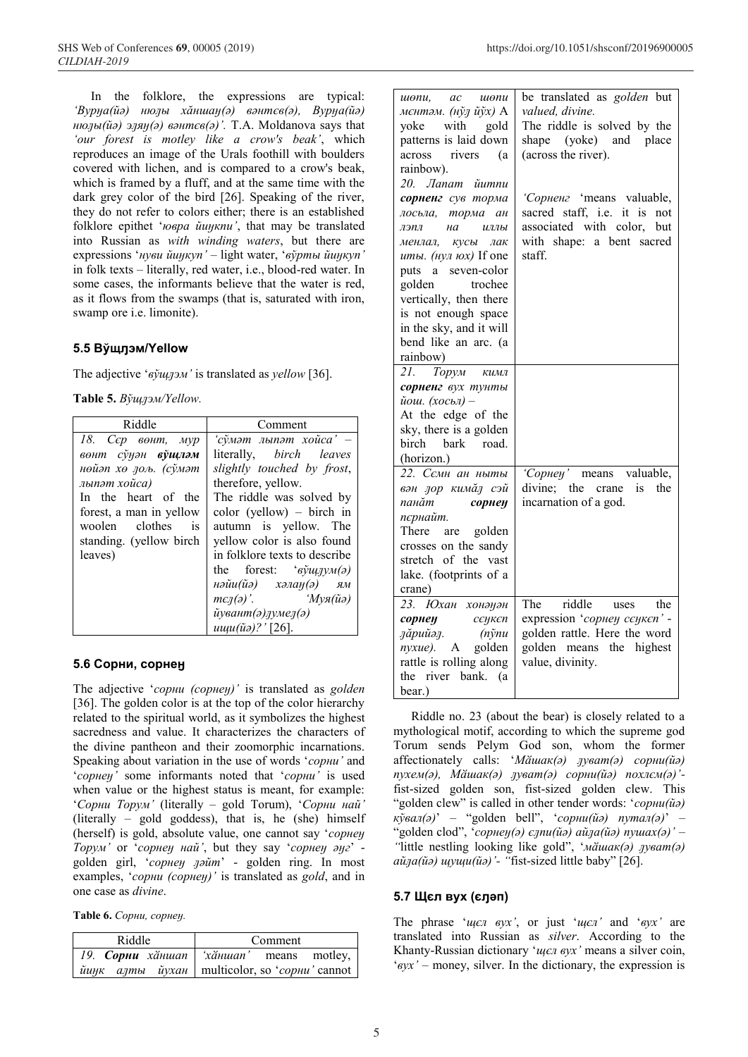In the folklore, the expressions are typical: 'Byp<sub>H</sub>a(йә) нюлы хăншаң(ә) вәнтєв(ә), Byp<sub>H</sub>a(йә) *нюԓы(йǝ) эԓяӈ(ǝ) вǝнтєв(ǝ)'.* T.A. Moldanova says that *'our forest is motley like a crow's beak'*, which reproduces an image of the Urals foothill with boulders covered with lichen, and is compared to a crow's beak, which is framed by a fluff, and at the same time with the dark grey color of the bird [26]. Speaking of the river, they do not refer to colors either; there is an established folklore epithet '*ювра йиӈкпи'*, that may be translated into Russian as *with winding waters*, but there are expressions '*нуви йиӈкуп'* – light water, '*вўрты йиӈкуп'* in folk texts – literally, red water, i.e., blood-red water. In some cases, the informants believe that the water is red, as it flows from the swamps (that is, saturated with iron, swamp ore i.e. limonite).

### **5.5 Вўщԓэм/Yellow**

The adjective '*вўщԓэм'* is translated as *yellow* [36].

**Table 5.** *Вўщԓэм/Yellow.*

| Riddle                          | Comment                                                       |
|---------------------------------|---------------------------------------------------------------|
| 18. Сер вөнт, мур               | 'сўмәт лыпәт хойса' –                                         |
| вөнт сўнэн в <b>ўшлэм</b>       | literally, birch leaves                                       |
| нөйәп хө лољ. (сўмәт            | slightly touched by frost,                                    |
| лыпәт хойса)                    | therefore, yellow.                                            |
| In the heart of the             | The riddle was solved by                                      |
| forest, a man in yellow         | $color (yellow) - birch in$                                   |
| woolen clothes<br><sup>is</sup> | autumn is yellow. The                                         |
| standing. (yellow birch         | yellow color is also found                                    |
| leaves)                         | in folklore texts to describe                                 |
|                                 | the forest: ' $\epsilon y u_{\ell} y w(\epsilon)$             |
|                                 | нәйи(йә) хәлаң(ә) ям                                          |
|                                 | $m\epsilon J(\mathfrak{d})$ '. ' $Myn(\tilde{u}\mathfrak{d})$ |
|                                 | йувант(ә)лумел(ә)                                             |
|                                 | $uu\mu(\tilde{u}\partial)?$ [26].                             |

#### **5.6 Сорни, сорнеӈ**

The adjective '*сорни (сорнеӈ)'* is translated as *golden* [36]. The golden color is at the top of the color hierarchy related to the spiritual world, as it symbolizes the highest sacredness and value. It characterizes the characters of the divine pantheon and their zoomorphic incarnations. Speaking about variation in the use of words '*сорни'* and '*сорнеӈ'* some informants noted that '*сорни'* is used when value or the highest status is meant, for example: '*Сорни Торум'* (literally – gold Torum), '*Сорни най'* (literally – gold goddess), that is, he (she) himself (herself) is gold, absolute value, one cannot say '*сорнеӈ Торум'* or '*сорнеӈ най'*, but they say '*сорнеӈ ǝӈг*' golden girl, '*сорнең ләйт*' - golden ring. In most examples, '*сорни (сорнеӈ)'* is translated as *gold*, and in one case as *divine*.

**Table 6.** *Сорни, сорнеӈ.*

| Riddle | Comment                                                                                                                   |
|--------|---------------------------------------------------------------------------------------------------------------------------|
|        | 19. Сорни хăншап   'хăншап' means motley,<br>$\tilde{u}$ инк алты $\tilde{u}$ ухан multicolor, so ' <i>сорни</i> ' cannot |

| ac<br>шөпи<br>шөпи,<br>мєнтәм. (нўл йўх) А | be translated as <i>golden</i> but<br>valued, divine. |
|--------------------------------------------|-------------------------------------------------------|
| yoke with<br>gold                          | The riddle is solved by the                           |
| patterns is laid down                      | shape (yoke) and place                                |
| across rivers<br>(a                        | (across the river).                                   |
| rainbow).                                  |                                                       |
| 20. Лапат йитпи                            |                                                       |
|                                            |                                                       |
| сорненг сув торма                          | 'Сорненг 'means valuable,                             |
| лосьла, торма ан                           | sacred staff, i.e. it is<br>not                       |
| Ha<br>лэпл<br>иллы                         | associated<br>with color,<br>but                      |
| менлал, кусы лак                           | with shape: a bent<br>sacred                          |
| иты. (нул юх) If one                       | staff.                                                |
| puts a seven-color                         |                                                       |
| trochee<br>golden                          |                                                       |
| vertically, then there                     |                                                       |
| is not enough space                        |                                                       |
| in the sky, and it will                    |                                                       |
| bend like an arc. (a                       |                                                       |
| rainbow)                                   |                                                       |
| Торум<br>21.<br>кимл                       |                                                       |
| сорненг вух тунты                          |                                                       |
| йош. $(xoc_{b,l}) -$                       |                                                       |
| At the edge of the                         |                                                       |
| sky, there is a golden                     |                                                       |
| birch<br><b>bark</b><br>road.              |                                                       |
| (horizon.)                                 |                                                       |
| 22. Семн ан ныты                           | "Сорнен" means valuable,                              |
| вән лор кимйл сэй                          | divine; the crane<br>is<br>the                        |
| панăт<br>сорнен                            | incarnation of a god.                                 |
| пєрнайт.                                   |                                                       |
| There are<br>golden                        |                                                       |
| crosses on the sandy                       |                                                       |
| stretch of the vast                        |                                                       |
| lake. (footprints of a                     |                                                       |
| crane)                                     |                                                       |
| 23. Юхан хонэнэн                           | The<br>riddle<br>uses<br>the                          |
| сорнен<br>сєукєп                           | expression 'сорнен сенкеп' -                          |
| $(n\tilde{y}nu$<br>ларийәл.                | golden rattle. Here the word                          |
| nyxue). A golden                           | golden means the highest                              |
| rattle is rolling along                    | value, divinity.                                      |
| the river bank. (a                         |                                                       |
| bear.)                                     |                                                       |

Riddle no. 23 (about the bear) is closely related to a mythological motif, according to which the supreme god Torum sends Pelym God son, whom the former affectionately calls: 'Майшак(ә) *луват(ә) сорни(йә) пухем(əә), Мӑшак(əә) ԓуват(əә) сорни(йəә) похлєм(əә)'* fist-sized golden son, fist-sized golden clew. This "golden clew" is called in other tender words: '*сорни(йəә) кўвал(əә)*' – "golden bell", '*сорни(йəә) путал(əә)*' – "golden clod", '*сорнеӈ(əә) єԓпи(йəә) айԓа(йəә) пушах(əә)'* – *"*little nestling looking like gold", '*мӑшак(əә) ԓуват(əә) айԓа(йəә) щущи(йəә)'- "*fist-sized little baby" [26].

#### **5.7 Щєл вух (єԓəәп)**

The phrase '*щєл вух'*, or just '*щєл'* and '*вух'* are translated into Russian as *silver*. According to the Khanty-Russian dictionary '*щєл вух'* means a silver coin, '*вух'* – money, silver. In the dictionary, the expression is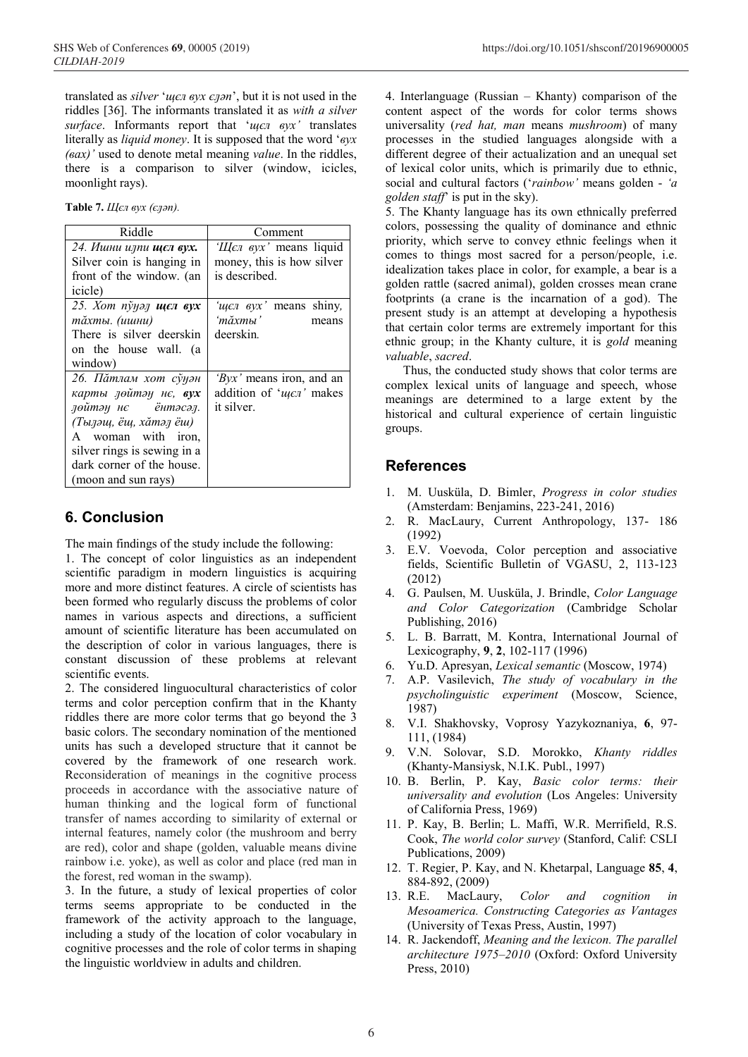translated as *silver* '*щєл вух єләп*', but it is not used in the riddles [36]. The informants translated it as *with a silver surface*. Informants report that '*щєл вух'*  translates literally as *liquid money*. It is supposed that the word '*вух (вах)'* used to denote metal meaning *value*. In the riddles, there is a comparison to silver (window, icicles, moonlight rays).

**Table 7.** *Щєл вух (єԓəәп).*

| Riddle                      | Comment                                  |
|-----------------------------|------------------------------------------|
| 24. Ишни илпи щел вух.      | 'Щєл вух' means liquid                   |
| Silver coin is hanging in   | money, this is how silver                |
| front of the window. (an    | is described.                            |
| <i>icicle</i> )             |                                          |
| 25. Хот пўнэл щел вух       | ' <i>щел syx</i> ' means shiny,          |
| тахты. (ишни)               | 'тăхты'<br>means                         |
| There is silver deerskin    | deerskin.                                |
| on the house wall. (a       |                                          |
| window)                     |                                          |
| 26. Патлам хот сўнән        | 'Byx' means iron, and an                 |
| карты лөйтән не, вух        | addition of ' $\mu \epsilon \pi$ ' makes |
| лөйтән нє ёнтәсәл.          | it silver.                               |
| (Тыләщ, ёщ, хăтәл ёш)       |                                          |
| A woman with iron,          |                                          |
| silver rings is sewing in a |                                          |
| dark corner of the house.   |                                          |
| (moon and sun rays)         |                                          |

# **6. Conclusion**

The main findings of the study include the following:

1. The concept of color linguistics as an independent scientific paradigm in modern linguistics is acquiring more and more distinct features. A circle of scientists has been formed who regularly discuss the problems of color names in various aspects and directions, a sufficient amount of scientific literature has been accumulated on the description of color in various languages, there is constant discussion of these problems at relevant scientific events.

2. The considered linguocultural characteristics of color terms and color perception confirm that in the Khanty riddles there are more color terms that go beyond the 3 basic colors. The secondary nomination of the mentioned units has such a developed structure that it cannot be covered by the framework of one research work. Reconsideration of meanings in the cognitive process proceeds in accordance with the associative nature of human thinking and the logical form of functional transfer of names according to similarity of external or internal features, namely color (the mushroom and berry are red), color and shape (golden, valuable means divine rainbow i.e. yoke), as well as color and place (red man in the forest, red woman in the swamp).

3. In the future, a study of lexical properties of color terms seems appropriate to be conducted in the framework of the activity approach to the language, including a study of the location of color vocabulary in cognitive processes and the role of color terms in shaping the linguistic worldview in adults and children.

4. Interlanguage (Russian – Khanty) comparison of the content aspect of the words for color terms shows universality (*red hat, man* means *mushroom*) of many processes in the studied languages alongside with a different degree of their actualization and an unequal set of lexical color units, which is primarily due to ethnic, social and cultural factors ('*rainbow'* means golden - *'a golden staff*' is put in the sky).

5. The Khanty language has its own ethnically preferred colors, possessing the quality of dominance and ethnic priority, which serve to convey ethnic feelings when it comes to things most sacred for a person/people, i.e. idealization takes place in color, for example, a bear is a golden rattle (sacred animal), golden crosses mean crane footprints (a crane is the incarnation of a god). The present study is an attempt at developing a hypothesis that certain color terms are extremely important for this ethnic group; in the Khanty culture, it is *gold* meaning *valuable*, *sacred*.

Thus, the conducted study shows that color terms are complex lexical units of language and speech, whose meanings are determined to a large extent by the historical and cultural experience of certain linguistic groups.

## **References**

- 1. M. Uusküla, D. Bimler, *Progress in color studies* (Amsterdam: Benjamins, 223-241, 2016)
- 2. R. MacLaury, Current Anthropology, 137- 186 (1992)
- 3. E.V. Voevoda, Color perception and associative fields, Scientific Bulletin of VGASU, 2, 113-123 (2012)
- 4. G. Paulsen, M. Uusküla, J. Brindle, *Color Language and Color Categorization* (Cambridge Scholar Publishing, 2016)
- 5. L. B. Barratt, M. Kontra, International Journal of Lexicography, **9**, **2**, 102-117 (1996)
- 6. Yu.D. Apresyan, *Lexical semantic* (Moscow, 1974)
- 7. A.P. Vasilevich, *The study of vocabulary in the psycholinguistic experiment* (Moscow, Science, 1987)
- 8. V.I. Shakhovsky, Voprosy Yazykoznaniya, **6**, 97- 111, (1984)
- 9. V.N. Solovar, S.D. Morokko, *Khanty riddles*  (Khanty-Mansiysk, N.I.K. Publ., 1997)
- 10. B. Berlin, P. Kay, *Basic color terms: their universality and evolution* (Los Angeles: University of California Press, 1969)
- 11. P. Kay, B. Berlin; L. Maffi, W.R. Merrifield, R.S. Cook, *The world color survey* (Stanford, Calif: CSLI Publications, 2009)
- 12. T. Regier, P. Kay, and N. Khetarpal, Language **85**, **4**, 884-892, (2009)
- 13. R.E. MacLaury, *Color and cognition in Mesoamerica. Constructing Categories as Vantages* (University of Texas Press, Austin, 1997)
- 14. R. Jackendoff, *Meaning and the lexicon. The parallel architecture 1975–2010* (Oxford: Oxford University Press, 2010)